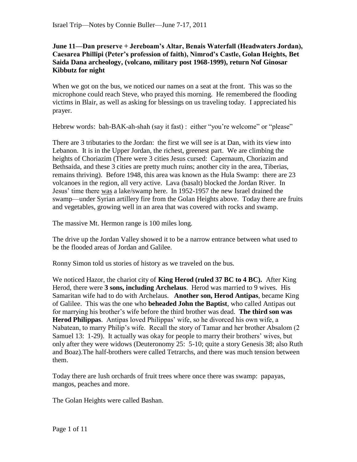**June 11—Dan preserve + Jereboam's Altar, Benais Waterfall (Headwaters Jordan), Caesarea Phillipi (Peter's profession of faith), Nimrod's Castle, Golan Heights, Bet Saida Dana archeology, (volcano, military post 1968-1999), return Nof Ginosar Kibbutz for night**

When we got on the bus, we noticed our names on a seat at the front. This was so the microphone could reach Steve, who prayed this morning. He remembered the flooding victims in Blair, as well as asking for blessings on us traveling today. I appreciated his prayer.

Hebrew words: bah-BAK-ah-shah (say it fast) : either "you're welcome" or "please"

There are 3 tributaries to the Jordan: the first we will see is at Dan, with its view into Lebanon. It is in the Upper Jordan, the richest, greenest part. We are climbing the heights of Choriazim (There were 3 cities Jesus cursed: Capernaum, Choriazim and Bethsaida, and these 3 cities are pretty much ruins; another city in the area, Tiberias, remains thriving). Before 1948, this area was known as the Hula Swamp: there are 23 volcanoes in the region, all very active. Lava (basalt) blocked the Jordan River. In Jesus' time there was a lake/swamp here. In 1952-1957 the new Israel drained the swamp—under Syrian artillery fire from the Golan Heights above. Today there are fruits and vegetables, growing well in an area that was covered with rocks and swamp.

The massive Mt. Hermon range is 100 miles long.

The drive up the Jordan Valley showed it to be a narrow entrance between what used to be the flooded areas of Jordan and Galilee.

Ronny Simon told us stories of history as we traveled on the bus.

We noticed Hazor, the chariot city of **King Herod (ruled 37 BC to 4 BC).** After King Herod, there were **3 sons, including Archelaus**. Herod was married to 9 wives. His Samaritan wife had to do with Archelaus. **Another son, Herod Antipas**, became King of Galilee. This was the one who **beheaded John the Baptist**, who called Antipas out for marrying his brother's wife before the third brother was dead. **The third son was Herod Philippas**. Antipas loved Philippas' wife, so he divorced his own wife, a Nabatean, to marry Philip's wife. Recall the story of Tamar and her brother Absalom (2 Samuel 13: 1-29). It actually was okay for people to marry their brothers' wives, but only after they were widows (Deuteronomy 25: 5-10; quite a story Genesis 38; also Ruth and Boaz).The half-brothers were called Tetrarchs, and there was much tension between them.

Today there are lush orchards of fruit trees where once there was swamp: papayas, mangos, peaches and more.

The Golan Heights were called Bashan.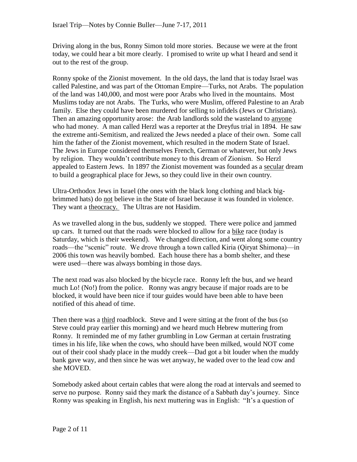Driving along in the bus, Ronny Simon told more stories. Because we were at the front today, we could hear a bit more clearly. I promised to write up what I heard and send it out to the rest of the group.

Ronny spoke of the Zionist movement. In the old days, the land that is today Israel was called Palestine, and was part of the Ottoman Empire—Turks, not Arabs. The population of the land was 140,000, and most were poor Arabs who lived in the mountains. Most Muslims today are not Arabs. The Turks, who were Muslim, offered Palestine to an Arab family. Else they could have been murdered for selling to infidels (Jews or Christians). Then an amazing opportunity arose: the Arab landlords sold the wasteland to anyone who had money. A man called Herzl was a reporter at the Dreyfus trial in 1894. He saw the extreme anti-Semitism, and realized the Jews needed a place of their own. Some call him the father of the Zionist movement, which resulted in the modern State of Israel. The Jews in Europe considered themselves French, German or whatever, but only Jews by religion. They wouldn't contribute money to this dream of Zionism. So Herzl appealed to Eastern Jews. In 1897 the Zionist movement was founded as a secular dream to build a geographical place for Jews, so they could live in their own country.

Ultra-Orthodox Jews in Israel (the ones with the black long clothing and black bigbrimmed hats) do not believe in the State of Israel because it was founded in violence. They want a theocracy. The Ultras are not Hasidim.

As we travelled along in the bus, suddenly we stopped. There were police and jammed up cars. It turned out that the roads were blocked to allow for a bike race (today is Saturday, which is their weekend). We changed direction, and went along some country roads—the "scenic" route. We drove through a town called Kiria (Qiryat Shimona)—in 2006 this town was heavily bombed. Each house there has a bomb shelter, and these were used—there was always bombing in those days.

The next road was also blocked by the bicycle race. Ronny left the bus, and we heard much Lo! (No!) from the police. Ronny was angry because if major roads are to be blocked, it would have been nice if tour guides would have been able to have been notified of this ahead of time.

Then there was a third roadblock. Steve and I were sitting at the front of the bus (so Steve could pray earlier this morning) and we heard much Hebrew muttering from Ronny. It reminded me of my father grumbling in Low German at certain frustrating times in his life, like when the cows, who should have been milked, would NOT come out of their cool shady place in the muddy creek—Dad got a bit louder when the muddy bank gave way, and then since he was wet anyway, he waded over to the lead cow and she MOVED.

Somebody asked about certain cables that were along the road at intervals and seemed to serve no purpose. Ronny said they mark the distance of a Sabbath day's journey. Since Ronny was speaking in English, his next muttering was in English: "It's a question of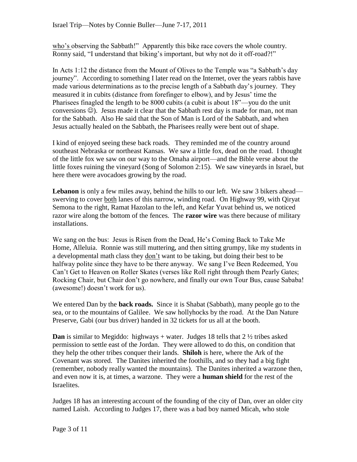who's observing the Sabbath!" Apparently this bike race covers the whole country. Ronny said, "I understand that biking's important, but why not do it off-road?!"

In Acts 1:12 the distance from the Mount of Olives to the Temple was "a Sabbath's day journey". According to something I later read on the Internet, over the years rabbis have made various determinations as to the precise length of a Sabbath day's journey. They measured it in cubits (distance from forefinger to elbow), and by Jesus' time the Pharisees finagled the length to be 8000 cubits (a cubit is about 18"—you do the unit conversions  $\circledcirc$ ). Jesus made it clear that the Sabbath rest day is made for man, not man for the Sabbath. Also He said that the Son of Man is Lord of the Sabbath, and when Jesus actually healed on the Sabbath, the Pharisees really were bent out of shape.

I kind of enjoyed seeing these back roads. They reminded me of the country around southeast Nebraska or northeast Kansas. We saw a little fox, dead on the road. I thought of the little fox we saw on our way to the Omaha airport—and the Bible verse about the little foxes ruining the vineyard (Song of Solomon 2:15). We saw vineyards in Israel, but here there were avocadoes growing by the road.

Lebanon is only a few miles away, behind the hills to our left. We saw 3 bikers ahead swerving to cover both lanes of this narrow, winding road. On Highway 99, with Qiryat Semona to the right, Ramat Hazolan to the left, and Kefar Yuvat behind us, we noticed razor wire along the bottom of the fences. The **razor wire** was there because of military installations.

We sang on the bus: Jesus is Risen from the Dead, He's Coming Back to Take Me Home, Alleluia. Ronnie was still muttering, and then sitting grumpy, like my students in a developmental math class they don't want to be taking, but doing their best to be halfway polite since they have to be there anyway. We sang I've Been Redeemed, You Can't Get to Heaven on Roller Skates (verses like Roll right through them Pearly Gates; Rocking Chair, but Chair don't go nowhere, and finally our own Tour Bus, cause Sababa! (awesome!) doesn't work for us).

We entered Dan by the **back roads.** Since it is Shabat (Sabbath), many people go to the sea, or to the mountains of Galilee. We saw hollyhocks by the road. At the Dan Nature Preserve, Gabi (our bus driver) handed in 32 tickets for us all at the booth.

**Dan** is similar to Megiddo: highways + water. Judges 18 tells that  $2\frac{1}{2}$  tribes asked permission to settle east of the Jordan. They were allowed to do this, on condition that they help the other tribes conquer their lands. **Shiloh** is here, where the Ark of the Covenant was stored. The Danites inherited the foothills, and so they had a big fight (remember, nobody really wanted the mountains). The Danites inherited a warzone then, and even now it is, at times, a warzone. They were a **human shield** for the rest of the Israelites.

Judges 18 has an interesting account of the founding of the city of Dan, over an older city named Laish. According to Judges 17, there was a bad boy named Micah, who stole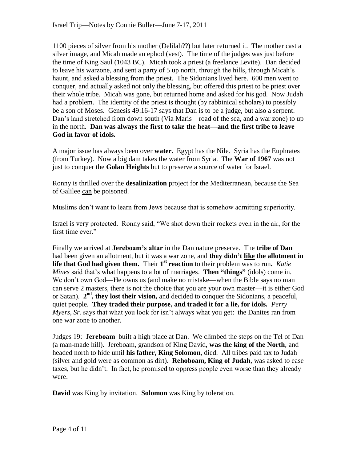1100 pieces of silver from his mother (Delilah??) but later returned it. The mother cast a silver image, and Micah made an ephod (vest). The time of the judges was just before the time of King Saul (1043 BC). Micah took a priest (a freelance Levite). Dan decided to leave his warzone, and sent a party of 5 up north, through the hills, through Micah's haunt, and asked a blessing from the priest. The Sidonians lived here. 600 men went to conquer, and actually asked not only the blessing, but offered this priest to be priest over their whole tribe. Micah was gone, but returned home and asked for his god. Now Judah had a problem. The identity of the priest is thought (by rabbinical scholars) to possibly be a son of Moses. Genesis 49:16-17 says that Dan is to be a judge, but also a serpent. Dan's land stretched from down south (Via Maris—road of the sea, and a war zone) to up in the north. **Dan was always the first to take the heat—and the first tribe to leave God in favor of idols.**

A major issue has always been over **water.** Egypt has the Nile. Syria has the Euphrates (from Turkey). Now a big dam takes the water from Syria. The **War of 1967** was not just to conquer the **Golan Heights** but to preserve a source of water for Israel.

Ronny is thrilled over the **desalinization** project for the Mediterranean, because the Sea of Galilee can be poisoned.

Muslims don't want to learn from Jews because that is somehow admitting superiority.

Israel is very protected. Ronny said, "We shot down their rockets even in the air, for the first time ever."

Finally we arrived at **Jereboam's altar** in the Dan nature preserve. The **tribe of Dan** had been given an allotment, but it was a war zone, and **they didn't like the allotment in**  life that God had given them. Their 1<sup>st</sup> reaction to their problem was to run. *Katie Mines* said that's what happens to a lot of marriages. **Then "things"** (idols) come in. We don't own God—He owns us (and make no mistake—when the Bible says no man can serve 2 masters, there is not the choice that you are your own master—it is either God or Satan). 2<sup>nd</sup>, they lost their vision, and decided to conquer the Sidonians, a peaceful, quiet people. **They traded their purpose, and traded it for a lie, for idols.** *Perry Myers, Sr.* says that what you look for isn't always what you get: the Danites ran from one war zone to another.

Judges 19: **Jereboam** built a high place at Dan. We climbed the steps on the Tel of Dan (a man-made hill). Jereboam, grandson of King David, **was the king of the North**, and headed north to hide until **his father, King Solomon**, died. All tribes paid tax to Judah (silver and gold were as common as dirt). **Rehoboam, King of Judah**, was asked to ease taxes, but he didn't. In fact, he promised to oppress people even worse than they already were.

**David** was King by invitation. **Solomon** was King by toleration.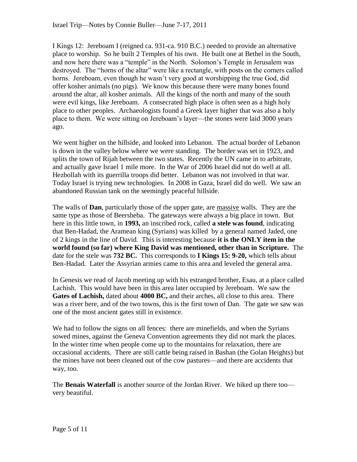I Kings 12: Jereboam I (reigned ca. 931-ca. 910 B.C.) needed to provide an alternative place to worship. So he built 2 Temples of his own. He built one at Bethel in the South, and now here there was a "temple" in the North. Solomon's Temple in Jerusalem was destroyed. The "horns of the altar" were like a rectangle, with posts on the corners called horns. Jereboam, even though he wasn't very good at worshipping the true God, did offer kosher animals (no pigs). We know this because there were many bones found around the altar, all kosher animals. All the kings of the north and many of the south were evil kings, like Jereboam. A consecrated high place is often seen as a high holy place to other peoples. Archaeologists found a Greek layer higher that was also a holy place to them. We were sitting on Jereboam's layer—the stones were laid 3000 years ago.

We went higher on the hillside, and looked into Lebanon. The actual border of Lebanon is down in the valley below where we were standing. The border was set in 1923, and splits the town of Rijah between the two states. Recently the UN came in to arbitrate, and actually gave Israel 1 mile more. In the War of 2006 Israel did not do well at all. Hezbollah with its guerrilla troops did better. Lebanon was not involved in that war. Today Israel is trying new technologies. In 2008 in Gaza, Israel did do well. We saw an abandoned Russian tank on the seemingly peaceful hillside.

The walls of **Dan**, particularly those of the upper gate, are massive walls. They are the same type as those of Beersheba. The gateways were always a big place in town. But here in this little town, in **1993,** an inscribed rock, called **a stele was found**, indicating that Ben-Hadad, the Aramean king (Syrians) was killed by a general named Jaded, one of 2 kings in the line of David. This is interesting because **it is the ONLY item in the world found (so far) where King David was mentioned, other than in Scripture.** The date for the stele was **732 BC.** This corresponds to **I Kings 15: 9-20,** which tells about Ben-Hadad. Later the Assyrian armies came to this area and leveled the general area.

In Genesis we read of Jacob meeting up with his estranged brother, Esau, at a place called Lachish. This would have been in this area later occupied by Jereboam. We saw the **Gates of Lachish,** dated about **4000 BC,** and their arches, all close to this area. There was a river here, and of the two towns, this is the first town of Dan. The gate we saw was one of the most ancient gates still in existence.

We had to follow the signs on all fences: there are minefields, and when the Syrians sowed mines, against the Geneva Convention agreements they did not mark the places. In the winter time when people come up to the mountains for relaxation, there are occasional accidents. There are still cattle being raised in Bashan (the Golan Heights) but the mines have not been cleaned out of the cow pastures—and there are accidents that way, too.

The **Benais Waterfall** is another source of the Jordan River. We hiked up there too very beautiful.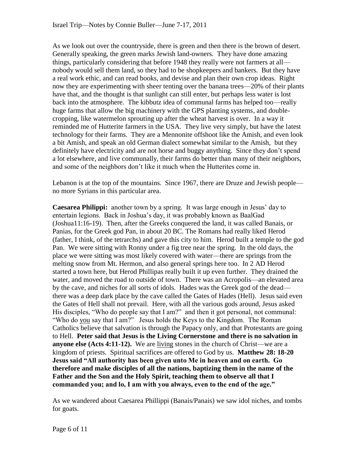As we look out over the countryside, there is green and then there is the brown of desert. Generally speaking, the green marks Jewish land-owners. They have done amazing things, particularly considering that before 1948 they really were not farmers at all nobody would sell them land, so they had to be shopkeepers and bankers. But they have a real work ethic, and can read books, and devise and plan their own crop ideas. Right now they are experimenting with sheer tenting over the banana trees—20% of their plants have that, and the thought is that sunlight can still enter, but perhaps less water is lost back into the atmosphere. The kibbutz idea of communal farms has helped too—really huge farms that allow the big machinery with the GPS planting systems, and doublecropping, like watermelon sprouting up after the wheat harvest is over. In a way it reminded me of Hutterite farmers in the USA. They live very simply, but have the latest technology for their farms. They are a Mennonite offshoot like the Amish, and even look a bit Amish, and speak an old German dialect somewhat similar to the Amish, but they definitely have electricity and are not horse and buggy anything. Since they don't spend a lot elsewhere, and live communally, their farms do better than many of their neighbors, and some of the neighbors don't like it much when the Hutterites come in.

Lebanon is at the top of the mountains. Since 1967, there are Druze and Jewish people no more Syrians in this particular area.

**Caesarea Philippi:** another town by a spring. It was large enough in Jesus' day to entertain legions. Back in Joshua's day, it was probably known as BaalGad (Joshua11:16-19). Then, after the Greeks conquered the land, it was called Banais, or Panias, for the Greek god Pan, in about 20 BC. The Romans had really liked Herod (father, I think, of the tetrarchs) and gave this city to him. Herod built a temple to the god Pan. We were sitting with Ronny under a fig tree near the spring. In the old days, the place we were sitting was most likely covered with water—there are springs from the melting snow from Mt. Hermon, and also general springs here too. In 2 AD Herod started a town here, but Herod Phillipas really built it up even further. They drained the water, and moved the road to outside of town. There was an Acropolis—an elevated area by the cave, and niches for all sorts of idols. Hades was the Greek god of the dead there was a deep dark place by the cave called the Gates of Hades (Hell). Jesus said even the Gates of Hell shall not prevail. Here, with all the various gods around, Jesus asked His disciples, "Who do people say that I am?" and then it got personal, not communal: "Who do you say that I am?" Jesus holds the Keys to the Kingdom. The Roman Catholics believe that salvation is through the Papacy only, and that Protestants are going to Hell. **Peter said that Jesus is the Living Cornerstone and there is no salvation in anyone else (Acts 4:11-12).** We are living stones in the church of Christ—we are a kingdom of priests. Spiritual sacrifices are offered to God by us. **Matthew 28: 18-20 Jesus said "All authority has been given unto Me in heaven and on earth. Go therefore and make disciples of all the nations, baptizing them in the name of the Father and the Son and the Holy Spirit, teaching them to observe all that I commanded you; and lo, I am with you always, even to the end of the age."**

As we wandered about Caesarea Phillippi (Banais/Panais) we saw idol niches, and tombs for goats.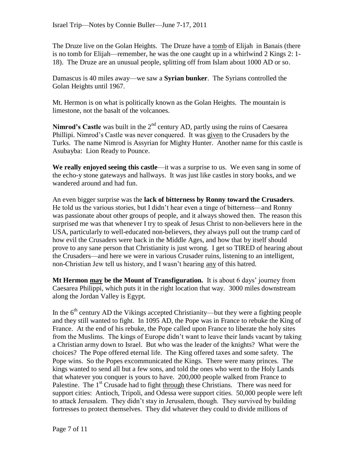The Druze live on the Golan Heights. The Druze have a tomb of Elijah in Banais (there is no tomb for Elijah—remember, he was the one caught up in a whirlwind 2 Kings 2: 1- 18). The Druze are an unusual people, splitting off from Islam about 1000 AD or so.

Damascus is 40 miles away—we saw a **Syrian bunker**. The Syrians controlled the Golan Heights until 1967.

Mt. Hermon is on what is politically known as the Golan Heights. The mountain is limestone, not the basalt of the volcanoes.

**Nimrod's Castle** was built in the 2<sup>nd</sup> century AD, partly using the ruins of Caesarea Phillipi. Nimrod's Castle was never conquered. It was given to the Crusaders by the Turks. The name Nimrod is Assyrian for Mighty Hunter. Another name for this castle is Asubayba: Lion Ready to Pounce.

**We really enjoyed seeing this castle**—it was a surprise to us. We even sang in some of the echo-y stone gateways and hallways. It was just like castles in story books, and we wandered around and had fun.

An even bigger surprise was the **lack of bitterness by Ronny toward the Crusaders**. He told us the various stories, but I didn't hear even a tinge of bitterness—and Ronny was passionate about other groups of people, and it always showed then. The reason this surprised me was that whenever I try to speak of Jesus Christ to non-believers here in the USA, particularly to well-educated non-believers, they always pull out the trump card of how evil the Crusaders were back in the Middle Ages, and how that by itself should prove to any sane person that Christianity is just wrong. I get so TIRED of hearing about the Crusaders—and here we were in various Crusader ruins, listening to an intelligent, non-Christian Jew tell us history, and I wasn't hearing any of this hatred.

**Mt Hermon may be the Mount of Transfiguration.** It is about 6 days' journey from Caesarea Philippi, which puts it in the right location that way. 3000 miles downstream along the Jordan Valley is Egypt.

In the  $6<sup>th</sup>$  century AD the Vikings accepted Christianity—but they were a fighting people and they still wanted to fight. In 1095 AD, the Pope was in France to rebuke the King of France. At the end of his rebuke, the Pope called upon France to liberate the holy sites from the Muslims. The kings of Europe didn't want to leave their lands vacant by taking a Christian army down to Israel. But who was the leader of the knights? What were the choices? The Pope offered eternal life. The King offered taxes and some safety. The Pope wins. So the Popes excommunicated the Kings. There were many princes. The kings wanted to send all but a few sons, and told the ones who went to the Holy Lands that whatever you conquer is yours to have. 200,000 people walked from France to Palestine. The  $1<sup>st</sup>$  Crusade had to fight through these Christians. There was need for support cities: Antioch, Tripoli, and Odessa were support cities. 50,000 people were left to attack Jerusalem. They didn't stay in Jerusalem, though. They survived by building fortresses to protect themselves. They did whatever they could to divide millions of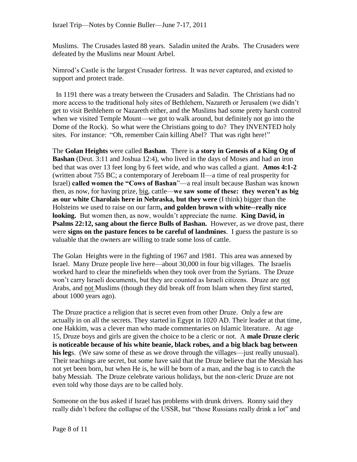Muslims. The Crusades lasted 88 years. Saladin united the Arabs. The Crusaders were defeated by the Muslims near Mount Arbel.

Nimrod's Castle is the largest Crusader fortress. It was never captured, and existed to support and protect trade.

 In 1191 there was a treaty between the Crusaders and Saladin. The Christians had no more access to the traditional holy sites of Bethlehem, Nazareth or Jerusalem (we didn't get to visit Bethlehem or Nazareth either, and the Muslims had some pretty harsh control when we visited Temple Mount—we got to walk around, but definitely not go into the Dome of the Rock). So what were the Christians going to do? They INVENTED holy sites. For instance: "Oh, remember Cain killing Abel? That was right here!"

The **Golan Heights** were called **Bashan**. There is **a story in Genesis of a King Og of Bashan** (Deut. 3:11 and Joshua 12:4), who lived in the days of Moses and had an iron bed that was over 13 feet long by 6 feet wide, and who was called a giant. **Amos 4:1-2**  (written about 755 BC; a contemporary of Jereboam II—a time of real prosperity for Israel) **called women the "Cows of Bashan**"—a real insult because Bashan was known then, as now, for having prize, big, cattle—**we saw some of these: they weren't as big as our white Charolais here in Nebraska, but they were** (I think) bigger than the Holsteins we used to raise on our farm**, and golden brown with white--really nice looking.** But women then, as now, wouldn't appreciate the name. **King David, in Psalms 22:12, sang about the fierce Bulls of Bashan.** However, as we drove past, there were **signs on the pasture fences to be careful of landmines**. I guess the pasture is so valuable that the owners are willing to trade some loss of cattle.

The Golan Heights were in the fighting of 1967 and 1981. This area was annexed by Israel. Many Druze people live here—about 30,000 in four big villages. The Israelis worked hard to clear the minefields when they took over from the Syrians. The Druze won't carry Israeli documents, but they are counted as Israeli citizens. Druze are not Arabs, and not Muslims (though they did break off from Islam when they first started, about 1000 years ago).

The Druze practice a religion that is secret even from other Druze. Only a few are actually in on all the secrets. They started in Egypt in 1020 AD. Their leader at that time, one Hakkim, was a clever man who made commentaries on Islamic literature. At age 15, Druze boys and girls are given the choice to be a cleric or not. A **male Druze cleric is noticeable because of his white beanie, black robes, and a big black bag between his leg**s. (We saw some of these as we drove through the villages—just really unusual). Their teachings are secret, but some have said that the Druze believe that the Messiah has not yet been born, but when He is, he will be born of a man, and the bag is to catch the baby Messiah. The Druze celebrate various holidays, but the non-cleric Druze are not even told why those days are to be called holy.

Someone on the bus asked if Israel has problems with drunk drivers. Ronny said they really didn't before the collapse of the USSR, but "those Russians really drink a lot" and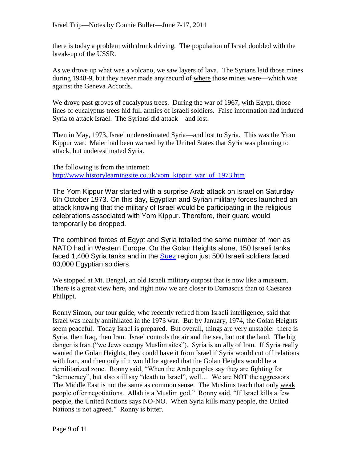there is today a problem with drunk driving. The population of Israel doubled with the break-up of the USSR.

As we drove up what was a volcano, we saw layers of lava. The Syrians laid those mines during 1948-9, but they never made any record of where those mines were—which was against the Geneva Accords.

We drove past groves of eucalyptus trees. During the war of 1967, with Egypt, those lines of eucalyptus trees hid full armies of Israeli soldiers. False information had induced Syria to attack Israel. The Syrians did attack—and lost.

Then in May, 1973, Israel underestimated Syria—and lost to Syria. This was the Yom Kippur war. Maier had been warned by the United States that Syria was planning to attack, but underestimated Syria.

The following is from the internet: [http://www.historylearningsite.co.uk/yom\\_kippur\\_war\\_of\\_1973.htm](http://www.historylearningsite.co.uk/yom_kippur_war_of_1973.htm)

The Yom Kippur War started with a surprise Arab attack on Israel on Saturday 6th October 1973. On this day, Egyptian and Syrian military forces launched an attack knowing that the military of Israel would be participating in the religious celebrations associated with Yom Kippur. Therefore, their guard would temporarily be dropped.

The combined forces of Egypt and Syria totalled the same number of men as NATO had in Western Europe. On the Golan Heights alone, 150 Israeli tanks faced 1,400 Syria tanks and in the **Suez** region just 500 Israeli soldiers faced 80,000 Egyptian soldiers.

We stopped at Mt. Bengal, an old Israeli military outpost that is now like a museum. There is a great view here, and right now we are closer to Damascus than to Caesarea Philippi.

Ronny Simon, our tour guide, who recently retired from Israeli intelligence, said that Israel was nearly annihilated in the 1973 war. But by January, 1974, the Golan Heights seem peaceful. Today Israel is prepared. But overall, things are very unstable: there is Syria, then Iraq, then Iran. Israel controls the air and the sea, but not the land. The big danger is Iran ("we Jews occupy Muslim sites"). Syria is an ally of Iran. If Syria really wanted the Golan Heights, they could have it from Israel if Syria would cut off relations with Iran, and then only if it would be agreed that the Golan Heights would be a demilitarized zone. Ronny said, "When the Arab peoples say they are fighting for "democracy", but also still say "death to Israel", well… We are NOT the aggressors. The Middle East is not the same as common sense. The Muslims teach that only weak people offer negotiations. Allah is a Muslim god." Ronny said, "If Israel kills a few people, the United Nations says NO-NO. When Syria kills many people, the United Nations is not agreed." Ronny is bitter.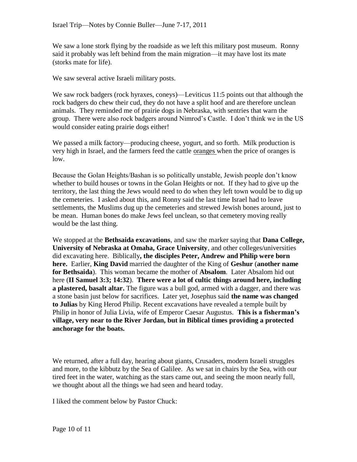We saw a lone stork flying by the roadside as we left this military post museum. Ronny said it probably was left behind from the main migration—it may have lost its mate (storks mate for life).

We saw several active Israeli military posts.

We saw rock badgers (rock hyraxes, coneys)—Leviticus 11:5 points out that although the rock badgers do chew their cud, they do not have a split hoof and are therefore unclean animals. They reminded me of prairie dogs in Nebraska, with sentries that warn the group. There were also rock badgers around Nimrod's Castle. I don't think we in the US would consider eating prairie dogs either!

We passed a milk factory—producing cheese, yogurt, and so forth. Milk production is very high in Israel, and the farmers feed the cattle oranges when the price of oranges is low.

Because the Golan Heights/Bashan is so politically unstable, Jewish people don't know whether to build houses or towns in the Golan Heights or not. If they had to give up the territory, the last thing the Jews would need to do when they left town would be to dig up the cemeteries. I asked about this, and Ronny said the last time Israel had to leave settlements, the Muslims dug up the cemeteries and strewed Jewish bones around, just to be mean. Human bones do make Jews feel unclean, so that cemetery moving really would be the last thing.

We stopped at the **Bethsaida excavations**, and saw the marker saying that **Dana College, University of Nebraska at Omaha, Grace University**, and other colleges/universities did excavating here. Biblically**, the disciples Peter, Andrew and Philip were born here.** Earlier, **King David** married the daughter of the King of **Geshur** (**another name for Bethsaida**). This woman became the mother of **Absalom**. Later Absalom hid out here (**II Samuel 3:3; 14:32**). **There were a lot of cultic things around here, including a plastered, basalt altar.** The figure was a bull god, armed with a dagger, and there was a stone basin just below for sacrifices. Later yet, Josephus said **the name was changed to Julias** by King Herod Philip. Recent excavations have revealed a temple built by Philip in honor of Julia Livia, wife of Emperor Caesar Augustus. **This is a fisherman's village, very near to the River Jordan, but in Biblical times providing a protected anchorage for the boats.** 

We returned, after a full day, hearing about giants, Crusaders, modern Israeli struggles and more, to the kibbutz by the Sea of Galilee. As we sat in chairs by the Sea, with our tired feet in the water, watching as the stars came out, and seeing the moon nearly full, we thought about all the things we had seen and heard today.

I liked the comment below by Pastor Chuck: